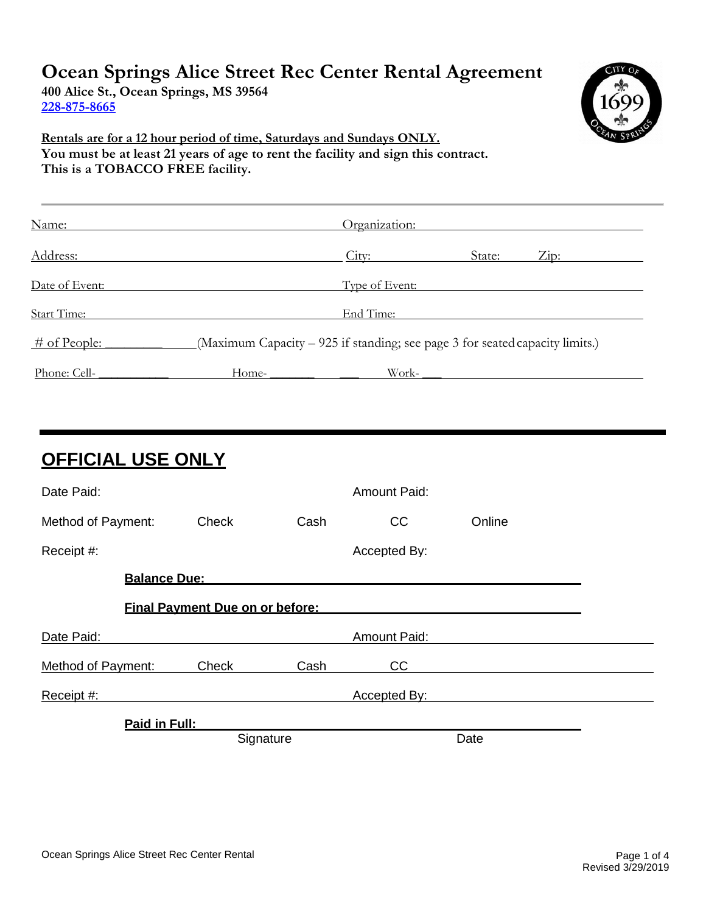# **Ocean Springs Alice Street Rec Center Rental Agreement**

**400 Alice St., Ocean Springs, MS 39564 228-875-8665**



 **Rentals are for a 12 hour period of time, Saturdays and Sundays ONLY. You must be at least 21 years of age to rent the facility and sign this contract. This is a TOBACCO FREE facility.**

| Name:           | Organization:                                                                |
|-----------------|------------------------------------------------------------------------------|
| Address:        | City:<br>State:<br>$Z$ <sub>ip:</sub>                                        |
| Date of Event:  | Type of Event:                                                               |
| Start Time:     | End Time:                                                                    |
| $\#$ of People: | (Maximum Capacity – 925 if standing; see page 3 for seated capacity limits.) |
| Phone: Cell-    | Work-<br>Home-                                                               |

| <b>OFFICIAL USE ONLY</b>               |           |      |                     |        |  |  |
|----------------------------------------|-----------|------|---------------------|--------|--|--|
| Date Paid:                             |           |      | <b>Amount Paid:</b> |        |  |  |
| Method of Payment:                     | Check     | Cash | cc                  | Online |  |  |
| Receipt #:                             |           |      | Accepted By:        |        |  |  |
| <b>Balance Due:</b>                    |           |      |                     |        |  |  |
| <b>Final Payment Due on or before:</b> |           |      |                     |        |  |  |
| Date Paid:                             |           |      | <b>Amount Paid:</b> |        |  |  |
| Method of Payment:                     | Check     | Cash | CC                  |        |  |  |
| Receipt #:                             |           |      | Accepted By:        |        |  |  |
| Paid in Full:                          |           |      |                     |        |  |  |
|                                        | Signature |      |                     | Date   |  |  |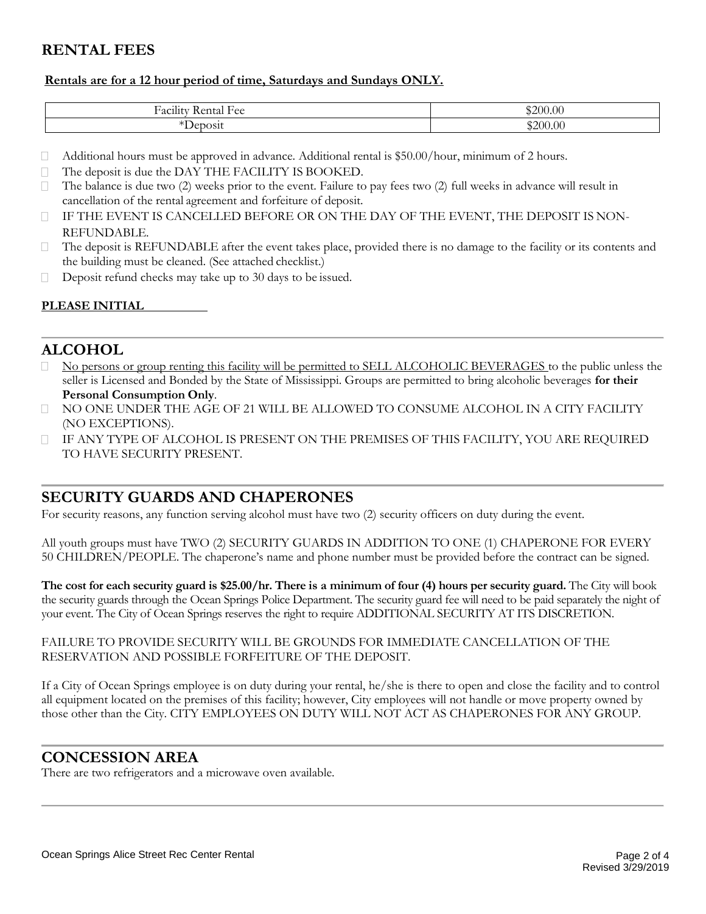### **RENTAL FEES**

#### **Rentals are for a 12 hour period of time, Saturdays and Sundays ONLY.**

| $\cdots$<br>$\sim$<br><b>Section</b><br>$H\Omega$<br>Ha<br>$\sim$<br>$\alpha$ nta<br>$-147$<br>$\mathbf{A}$<br><b>Refigue 1 CC</b><br> | 3200.<br>0.00 |
|----------------------------------------------------------------------------------------------------------------------------------------|---------------|
| $\sim$                                                                                                                                 | ⊄ാ∩∩          |
| $\sim$                                                                                                                                 | ,00           |

- $\Box$ Additional hours must be approved in advance. Additional rental is \$50.00/hour, minimum of 2 hours.
- $\Box$ The deposit is due the DAY THE FACILITY IS BOOKED.
- $\Box$ The balance is due two (2) weeks prior to the event. Failure to pay fees two (2) full weeks in advance will result in cancellation of the rental agreement and forfeiture of deposit.
- $\Box$ IF THE EVENT IS CANCELLED BEFORE OR ON THE DAY OF THE EVENT, THE DEPOSIT IS NON-REFUNDABLE.
- $\Box$ The deposit is REFUNDABLE after the event takes place, provided there is no damage to the facility or its contents and the building must be cleaned. (See attached checklist.)
- $\Box$ Deposit refund checks may take up to 30 days to be issued.

#### **PLEASE INITIAL**

### **ALCOHOL**

- No persons or group renting this facility will be permitted to SELL ALCOHOLIC BEVERAGES to the public unless the seller is Licensed and Bonded by the State of Mississippi. Groups are permitted to bring alcoholic beverages **for their Personal Consumption Only**.
- NO ONE UNDER THE AGE OF 21 WILL BE ALLOWED TO CONSUME ALCOHOL IN A CITY FACILITY (NO EXCEPTIONS).
- IF ANY TYPE OF ALCOHOL IS PRESENT ON THE PREMISES OF THIS FACILITY, YOU ARE REQUIRED TO HAVE SECURITY PRESENT.

### **SECURITY GUARDS AND CHAPERONES**

For security reasons, any function serving alcohol must have two (2) security officers on duty during the event.

All youth groups must have TWO (2) SECURITY GUARDS IN ADDITION TO ONE (1) CHAPERONE FOR EVERY 50 CHILDREN/PEOPLE. The chaperone's name and phone number must be provided before the contract can be signed.

**The cost for each security guard is \$25.00/hr. There is a minimum of four (4) hours per security guard.** The City will book the security guards through the Ocean Springs Police Department. The security guard fee will need to be paid separately the night of your event. The City of Ocean Springs reserves the right to require ADDITIONAL SECURITY AT ITS DISCRETION.

#### FAILURE TO PROVIDE SECURITY WILL BE GROUNDS FOR IMMEDIATE CANCELLATION OF THE RESERVATION AND POSSIBLE FORFEITURE OF THE DEPOSIT.

If a City of Ocean Springs employee is on duty during your rental, he/she is there to open and close the facility and to control all equipment located on the premises of this facility; however, City employees will not handle or move property owned by those other than the City. CITY EMPLOYEES ON DUTY WILL NOT ACT AS CHAPERONES FOR ANY GROUP.

### **CONCESSION AREA**

There are two refrigerators and a microwave oven available.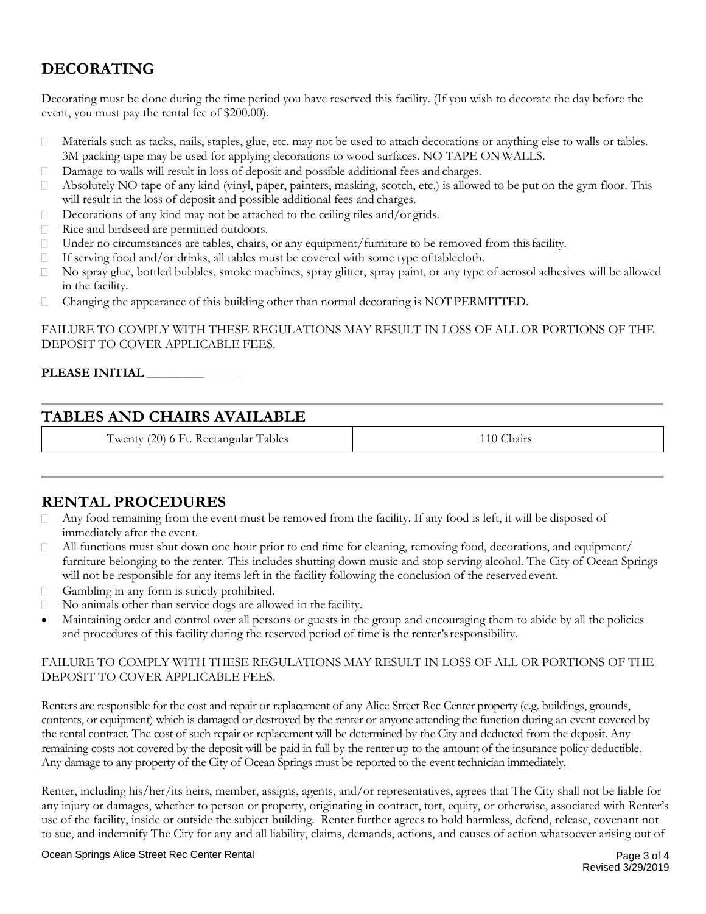## **DECORATING**

Decorating must be done during the time period you have reserved this facility. (If you wish to decorate the day before the event, you must pay the rental fee of \$200.00).

- Materials such as tacks, nails, staples, glue, etc. may not be used to attach decorations or anything else to walls or tables.  $\Box$ 3M packing tape may be used for applying decorations to wood surfaces. NO TAPE ONWALLS.
- Damage to walls will result in loss of deposit and possible additional fees and charges.  $\Box$
- Absolutely NO tape of any kind (vinyl, paper, painters, masking, scotch, etc.) is allowed to be put on the gym floor. This  $\Box$ will result in the loss of deposit and possible additional fees and charges.
- Decorations of any kind may not be attached to the ceiling tiles and/or grids.  $\Box$
- Rice and birdseed are permitted outdoors.
- Under no circumstances are tables, chairs, or any equipment/furniture to be removed from thisfacility.  $\Box$
- If serving food and/or drinks, all tables must be covered with some type oftablecloth.  $\Box$
- $\Box$ No spray glue, bottled bubbles, smoke machines, spray glitter, spray paint, or any type of aerosol adhesives will be allowed in the facility.
- Changing the appearance of this building other than normal decorating is NOT PERMITTED.  $\Box$

FAILURE TO COMPLY WITH THESE REGULATIONS MAY RESULT IN LOSS OF ALL OR PORTIONS OF THE DEPOSIT TO COVER APPLICABLE FEES.

#### **PLEASE INITIAL \_\_\_\_\_\_\_\_\_**

### **TABLES AND CHAIRS AVAILABLE**

Twenty (20) 6 Ft. Rectangular Tables 110 Chairs 110 Chairs

### **RENTAL PROCEDURES**

- Any food remaining from the event must be removed from the facility. If any food is left, it will be disposed of immediately after the event.
- All functions must shut down one hour prior to end time for cleaning, removing food, decorations, and equipment/  $\Box$ furniture belonging to the renter. This includes shutting down music and stop serving alcohol. The City of Ocean Springs will not be responsible for any items left in the facility following the conclusion of the reserved event.
- Gambling in any form is strictly prohibited.  $\Box$
- No animals other than service dogs are allowed in the facility.  $\Box$
- Maintaining order and control over all persons or guests in the group and encouraging them to abide by all the policies and procedures of this facility during the reserved period of time is the renter'sresponsibility.

#### FAILURE TO COMPLY WITH THESE REGULATIONS MAY RESULT IN LOSS OF ALL OR PORTIONS OF THE DEPOSIT TO COVER APPLICABLE FEES.

Renters are responsible for the cost and repair or replacement of any Alice Street Rec Center property (e.g. buildings, grounds, contents, or equipment) which is damaged or destroyed by the renter or anyone attending the function during an event covered by the rental contract. The cost of such repair or replacement will be determined by the City and deducted from the deposit. Any remaining costs not covered by the deposit will be paid in full by the renter up to the amount of the insurance policy deductible. Any damage to any property of the City of Ocean Springs must be reported to the event technician immediately.

Renter, including his/her/its heirs, member, assigns, agents, and/or representatives, agrees that The City shall not be liable for any injury or damages, whether to person or property, originating in contract, tort, equity, or otherwise, associated with Renter's use of the facility, inside or outside the subject building. Renter further agrees to hold harmless, defend, release, covenant not to sue, and indemnify The City for any and all liability, claims, demands, actions, and causes of action whatsoever arising out of